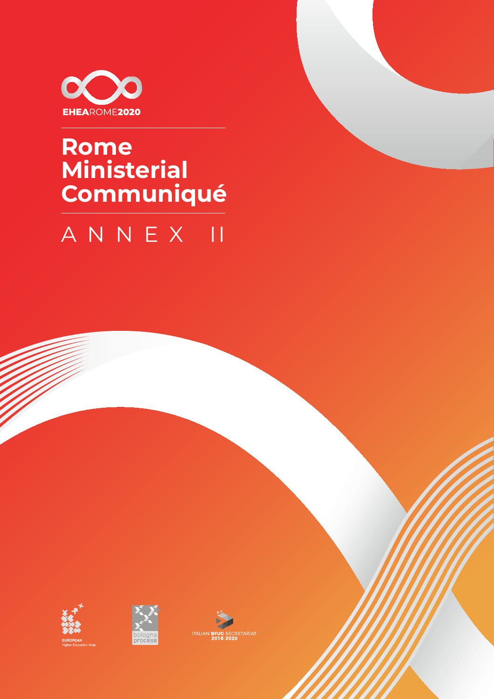

# Rome Ministerial Communiqué

# ANNEX II





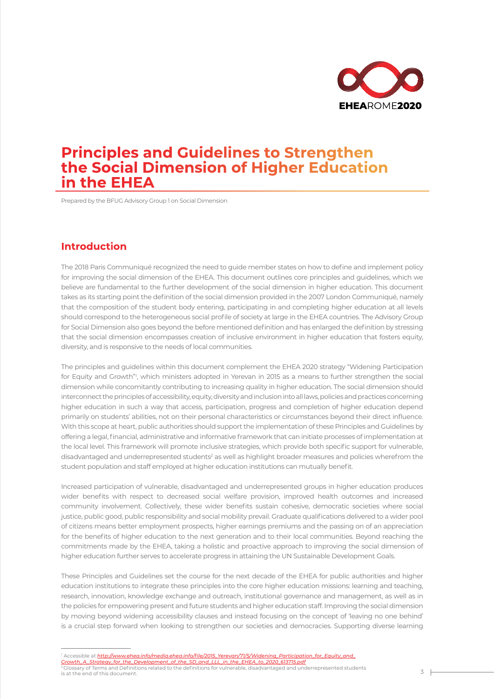

# **Principles and Guidelines to Strengthen the Social Dimension of Higher Education in the EHEA**

Prepared by the BFUG Advisory Group 1 on Social Dimension

### **Introduction**

The 2018 Paris Communiqué recognized the need to guide member states on how to define and implement policy for improving the social dimension of the EHEA. This document outlines core principles and guidelines, which we believe are fundamental to the further development of the social dimension in higher education. This document takes as its starting point the definition of the social dimension provided in the 2007 London Communiqué, namely that the composition of the student body entering, participating in and completing higher education at all levels should correspond to the heterogeneous social profile of society at large in the EHEA countries. The Advisory Group for Social Dimension also goes beyond the before mentioned definition and has enlarged the definition by stressing that the social dimension encompasses creation of inclusive environment in higher education that fosters equity, diversity, and is responsive to the needs of local communities.

The principles and guidelines within this document complement the EHEA 2020 strategy "Widening Participation for Equity and Growth"', which ministers adopted in Yerevan in 2015 as a means to further strengthen the social dimension while concomitantly contributing to increasing quality in higher education. The social dimension should interconnect the principles of accessibility, equity, diversity and inclusion into all laws, policies and practices concerning higher education in such a way that access, participation, progress and completion of higher education depend primarily on students' abilities, not on their personal characteristics or circumstances beyond their direct influence. With this scope at heart, public authorities should support the implementation of these Principles and Guidelines by offering a legal, financial, administrative and informative framework that can initiate processes of implementation at the local level. This framework will promote inclusive strategies, which provide both specific support for vulnerable, disadvantaged and underrepresented students<sup>2</sup> as well as highlight broader measures and policies wherefrom the student population and staff employed at higher education institutions can mutually benefit.

Increased participation of vulnerable, disadvantaged and underrepresented groups in higher education produces wider benefits with respect to decreased social welfare provision, improved health outcomes and increased community involvement. Collectively, these wider benefits sustain cohesive, democratic societies where social justice, public good, public responsibility and social mobility prevail. Graduate qualifications delivered to a wider pool of citizens means better employment prospects, higher earnings premiums and the passing on of an appreciation for the benefits of higher education to the next generation and to their local communities. Beyond reaching the commitments made by the EHEA, taking a holistic and proactive approach to improving the social dimension of higher education further serves to accelerate progress in attaining the UN Sustainable Development Goals.

These Principles and Guidelines set the course for the next decade of the EHEA for public authorities and higher education institutions to integrate these principles into the core higher education missions: learning and teaching, research, innovation, knowledge exchange and outreach, institutional governance and management, as well as in the policies for empowering present and future students and higher education staff. Improving the social dimension by moving beyond widening accessibility clauses and instead focusing on the concept of 'leaving no one behind' is a crucial step forward when looking to strengthen our societies and democracies. Supporting diverse learning

<sup>1</sup> Accessible at <u>[http://www.ehea.info/media.ehea.info/file/2015\\_Yerevan/71/5/Widening\\_Participation\\_for\\_Equity\\_and\\_](http://www.ehea.info/media.ehea.info/file/2015_Yerevan/71/5/Widening_Participation_for_Equity_and_Growth_A_Strategy_for_the_Development_of_the_SD_and_LLL_in_the_EHEA_to_2020_613715.pdf)<br><u>[Growth\\_A\\_Strategy\\_for\\_the\\_Development\\_of\\_the\\_SD\\_and\\_LLL\\_in\\_the\\_EHEA\\_to\\_2020\\_613715.pdf](http://www.ehea.info/media.ehea.info/file/2015_Yerevan/71/5/Widening_Participation_for_Equity_and_Growth_A_Strategy_for_the_Development_of_the_SD_and_LLL_in_the_EHEA_to_2020_613715.pdf)</u></u> 2 Glossary of Terms and Definitions related to the definitions for vulnerable, disadvantaged and underrepresented students is at the end of this document.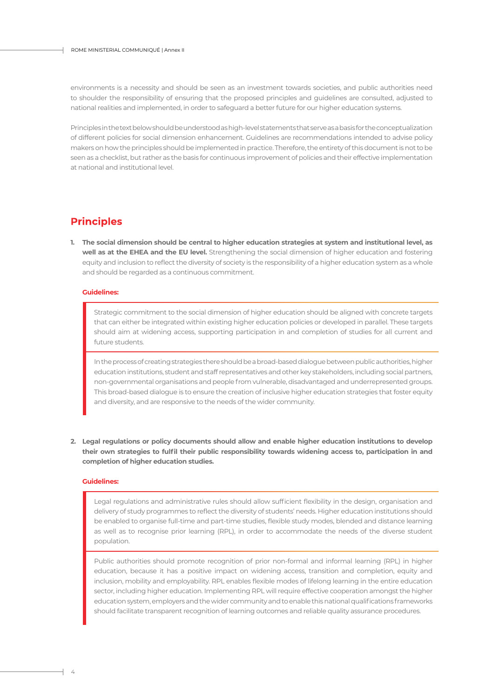environments is a necessity and should be seen as an investment towards societies, and public authorities need to shoulder the responsibility of ensuring that the proposed principles and guidelines are consulted, adjusted to national realities and implemented, in order to safeguard a better future for our higher education systems.

Principles in the text below should be understood as high-level statements that serve as a basis for the conceptualization of different policies for social dimension enhancement. Guidelines are recommendations intended to advise policy makers on how the principles should be implemented in practice. Therefore, the entirety of this document is not to be seen as a checklist, but rather as the basis for continuous improvement of policies and their effective implementation at national and institutional level.

## **Principles**

**The social dimension should be central to higher education strategies at system and institutional level, as 1. well as at the EHEA and the EU level.** Strengthening the social dimension of higher education and fostering equity and inclusion to reflect the diversity of society is the responsibility of a higher education system as a whole and should be regarded as a continuous commitment.

#### **Guidelines:**

Strategic commitment to the social dimension of higher education should be aligned with concrete targets that can either be integrated within existing higher education policies or developed in parallel. These targets should aim at widening access, supporting participation in and completion of studies for all current and future students.

In the process of creating strategies there should be a broad-based dialogue between public authorities, higher education institutions, student and staff representatives and other key stakeholders, including social partners, non-governmental organisations and people from vulnerable, disadvantaged and underrepresented groups. This broad-based dialogue is to ensure the creation of inclusive higher education strategies that foster equity and diversity, and are responsive to the needs of the wider community.

**Legal regulations or policy documents should allow and enable higher education institutions to develop 2.their own strategies to fulfil their public responsibility towards widening access to, participation in and completion of higher education studies.**

#### **Guidelines:**

Legal regulations and administrative rules should allow sufficient flexibility in the design, organisation and delivery of study programmes to reflect the diversity of students' needs. Higher education institutions should be enabled to organise full-time and part-time studies, flexible study modes, blended and distance learning as well as to recognise prior learning (RPL), in order to accommodate the needs of the diverse student population.

Public authorities should promote recognition of prior non-formal and informal learning (RPL) in higher education, because it has a positive impact on widening access, transition and completion, equity and inclusion, mobility and employability. RPL enables flexible modes of lifelong learning in the entire education sector, including higher education. Implementing RPL will require effective cooperation amongst the higher education system, employers and the wider community and to enable this national qualifications frameworks should facilitate transparent recognition of learning outcomes and reliable quality assurance procedures.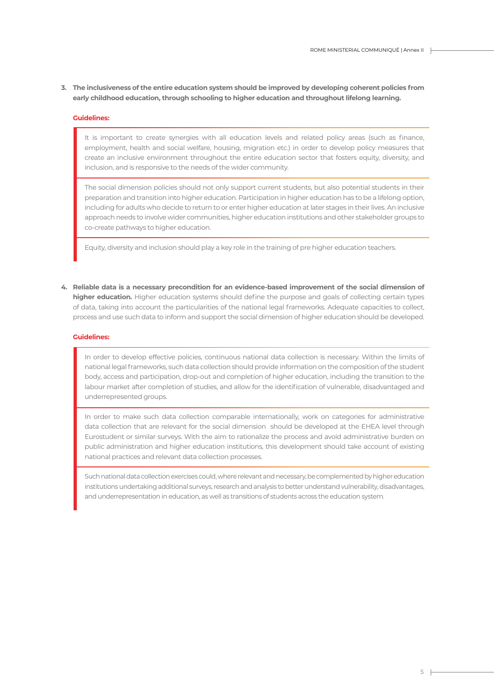**The inclusiveness of the entire education system should be improved by developing coherent policies from 3. early childhood education, through schooling to higher education and throughout lifelong learning.**

#### **Guidelines:**

It is important to create synergies with all education levels and related policy areas (such as finance, employment, health and social welfare, housing, migration etc.) in order to develop policy measures that create an inclusive environment throughout the entire education sector that fosters equity, diversity, and inclusion, and is responsive to the needs of the wider community.

The social dimension policies should not only support current students, but also potential students in their preparation and transition into higher education. Participation in higher education has to be a lifelong option, including for adults who decide to return to or enter higher education at later stages in their lives. An inclusive approach needs to involve wider communities, higher education institutions and other stakeholder groups to co-create pathways to higher education.

Equity, diversity and inclusion should play a key role in the training of pre higher education teachers.

**Reliable data is a necessary precondition for an evidence-based improvement of the social dimension of 4. higher education.** Higher education systems should define the purpose and goals of collecting certain types of data, taking into account the particularities of the national legal frameworks. Adequate capacities to collect, process and use such data to inform and support the social dimension of higher education should be developed.

#### **Guidelines:**

In order to develop effective policies, continuous national data collection is necessary. Within the limits of national legal frameworks, such data collection should provide information on the composition of the student body, access and participation, drop-out and completion of higher education, including the transition to the labour market after completion of studies, and allow for the identification of vulnerable, disadvantaged and underrepresented groups.

In order to make such data collection comparable internationally, work on categories for administrative data collection that are relevant for the social dimension should be developed at the EHEA level through Eurostudent or similar surveys. With the aim to rationalize the process and avoid administrative burden on public administration and higher education institutions, this development should take account of existing national practices and relevant data collection processes.

Such national data collection exercises could, where relevant and necessary, be complemented by higher education institutions undertaking additional surveys, research and analysis to better understand vulnerability, disadvantages, and underrepresentation in education, as well as transitions of students across the education system.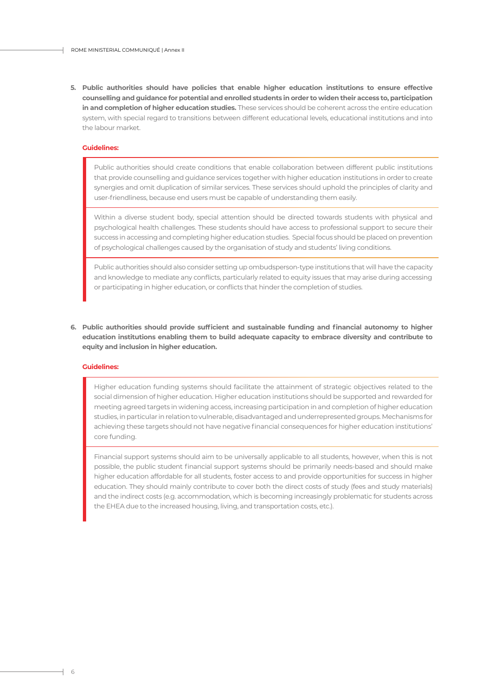**Public authorities should have policies that enable higher education institutions to ensure effective 5. counselling and guidance for potential and enrolled students in order to widen their access to, participation in and completion of higher education studies.** These services should be coherent across the entire education system, with special regard to transitions between different educational levels, educational institutions and into the labour market.

#### **Guidelines:**

Public authorities should create conditions that enable collaboration between different public institutions that provide counselling and guidance services together with higher education institutions in order to create synergies and omit duplication of similar services. These services should uphold the principles of clarity and user-friendliness, because end users must be capable of understanding them easily.

Within a diverse student body, special attention should be directed towards students with physical and psychological health challenges. These students should have access to professional support to secure their success in accessing and completing higher education studies. Special focus should be placed on prevention of psychological challenges caused by the organisation of study and students' living conditions.

Public authorities should also consider setting up ombudsperson-type institutions that will have the capacity and knowledge to mediate any conflicts, particularly related to equity issues that may arise during accessing or participating in higher education, or conflicts that hinder the completion of studies.

**Public authorities should provide sufficient and sustainable funding and financial autonomy to higher 6. education institutions enabling them to build adequate capacity to embrace diversity and contribute to equity and inclusion in higher education.**

#### **Guidelines:**

Higher education funding systems should facilitate the attainment of strategic objectives related to the social dimension of higher education. Higher education institutions should be supported and rewarded for meeting agreed targets in widening access, increasing participation in and completion of higher education studies, in particular in relation to vulnerable, disadvantaged and underrepresented groups. Mechanisms for achieving these targets should not have negative financial consequences for higher education institutions' core funding.

Financial support systems should aim to be universally applicable to all students, however, when this is not possible, the public student financial support systems should be primarily needs-based and should make higher education affordable for all students, foster access to and provide opportunities for success in higher education. They should mainly contribute to cover both the direct costs of study (fees and study materials) and the indirect costs (e.g. accommodation, which is becoming increasingly problematic for students across the EHEA due to the increased housing, living, and transportation costs, etc.).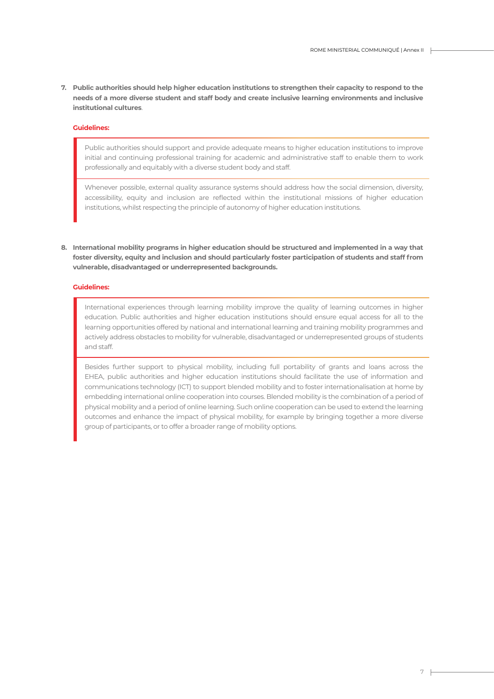**Public authorities should help higher education institutions to strengthen their capacity to respond to the 7. needs of a more diverse student and staff body and create inclusive learning environments and inclusive institutional cultures**.

#### **Guidelines:**

Public authorities should support and provide adequate means to higher education institutions to improve initial and continuing professional training for academic and administrative staff to enable them to work professionally and equitably with a diverse student body and staff.

Whenever possible, external quality assurance systems should address how the social dimension, diversity, accessibility, equity and inclusion are reflected within the institutional missions of higher education institutions, whilst respecting the principle of autonomy of higher education institutions.

**International mobility programs in higher education should be structured and implemented in a way that 8. foster diversity, equity and inclusion and should particularly foster participation of students and staff from vulnerable, disadvantaged or underrepresented backgrounds.**

#### **Guidelines:**

International experiences through learning mobility improve the quality of learning outcomes in higher education. Public authorities and higher education institutions should ensure equal access for all to the learning opportunities offered by national and international learning and training mobility programmes and actively address obstacles to mobility for vulnerable, disadvantaged or underrepresented groups of students and staff.

Besides further support to physical mobility, including full portability of grants and loans across the EHEA, public authorities and higher education institutions should facilitate the use of information and communications technology (ICT) to support blended mobility and to foster internationalisation at home by embedding international online cooperation into courses. Blended mobility is the combination of a period of physical mobility and a period of online learning. Such online cooperation can be used to extend the learning outcomes and enhance the impact of physical mobility, for example by bringing together a more diverse group of participants, or to offer a broader range of mobility options.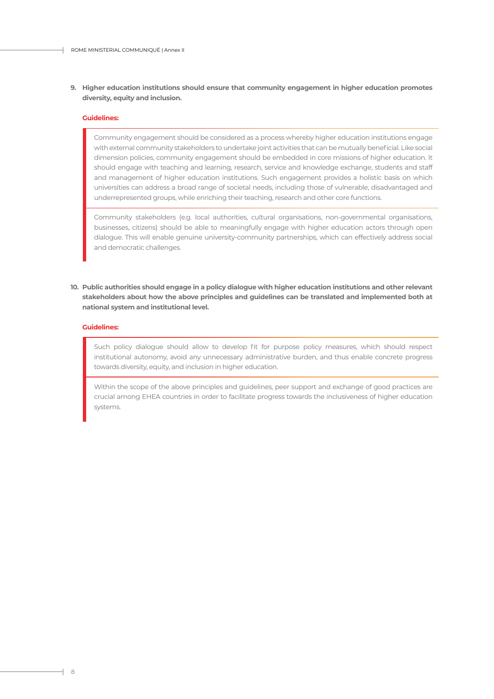#### **Higher education institutions should ensure that community engagement in higher education promotes 9. diversity, equity and inclusion.**

#### **Guidelines:**

Community engagement should be considered as a process whereby higher education institutions engage with external community stakeholders to undertake joint activities that can be mutually beneficial. Like social dimension policies, community engagement should be embedded in core missions of higher education. It should engage with teaching and learning, research, service and knowledge exchange, students and staff and management of higher education institutions. Such engagement provides a holistic basis on which universities can address a broad range of societal needs, including those of vulnerable, disadvantaged and underrepresented groups, while enriching their teaching, research and other core functions.

Community stakeholders (e.g. local authorities, cultural organisations, non-governmental organisations, businesses, citizens) should be able to meaningfully engage with higher education actors through open dialogue. This will enable genuine university-community partnerships, which can effectively address social and democratic challenges.

**Public authorities should engage in a policy dialogue with higher education institutions and other relevant 10.stakeholders about how the above principles and guidelines can be translated and implemented both at national system and institutional level.**

#### **Guidelines:**

Such policy dialogue should allow to develop fit for purpose policy measures, which should respect institutional autonomy, avoid any unnecessary administrative burden, and thus enable concrete progress towards diversity, equity, and inclusion in higher education.

Within the scope of the above principles and guidelines, peer support and exchange of good practices are crucial among EHEA countries in order to facilitate progress towards the inclusiveness of higher education systems.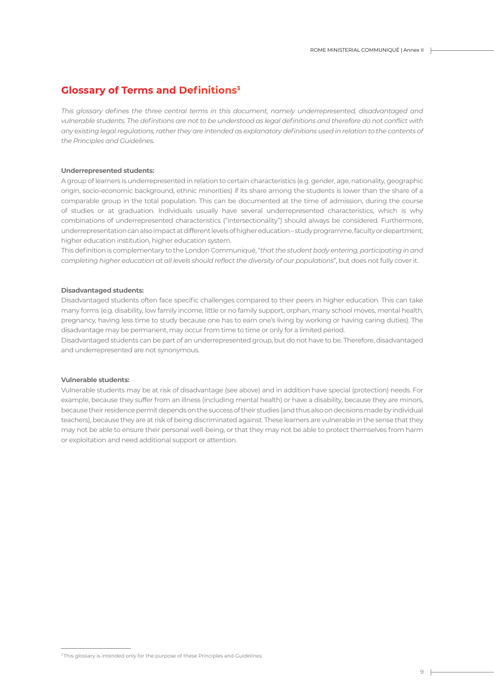## **Glossary of Terms and Definitions3**

*This glossary defines the three central terms in this document, namely underrepresented, disadvantaged and vulnerable students. The definitions are not to be understood as legal definitions and therefore do not conflict with any existing legal regulations, rather they are intended as explanatory definitions used in relation to the contents of the Principles and Guidelines.*

#### **Underrepresented students:**

A group of learners is underrepresented in relation to certain characteristics (e.g. gender, age, nationality, geographic origin, socio-economic background, ethnic minorities) if its share among the students is lower than the share of a comparable group in the total population. This can be documented at the time of admission, during the course of studies or at graduation. Individuals usually have several underrepresented characteristics, which is why combinations of underrepresented characteristics ("intersectionality") should always be considered. Furthermore, underrepresentation can also impact at different levels of higher education – study programme, faculty or department, higher education institution, higher education system.

This definition is complementary to the London Communiqué, "*that the student body entering, participating in and completing higher education at all levels should reflect the diversity of our populations*", but does not fully cover it.

#### **Disadvantaged students:**

Disadvantaged students often face specific challenges compared to their peers in higher education. This can take many forms (e.g. disability, low family income, little or no family support, orphan, many school moves, mental health, pregnancy, having less time to study because one has to earn one's living by working or having caring duties). The disadvantage may be permanent, may occur from time to time or only for a limited period.

Disadvantaged students can be part of an underrepresented group, but do not have to be. Therefore, disadvantaged and underrepresented are not synonymous.

#### **Vulnerable students:**

Vulnerable students may be at risk of disadvantage (see above) and in addition have special (protection) needs. For example, because they suffer from an illness (including mental health) or have a disability, because they are minors, because their residence permit depends on the success of their studies (and thus also on decisions made by individual teachers), because they are at risk of being discriminated against. These learners are vulnerable in the sense that they may not be able to ensure their personal well-being, or that they may not be able to protect themselves from harm or exploitation and need additional support or attention.

<sup>&</sup>lt;sup>3</sup> This glossary is intended only for the purpose of these Principles and Guidelines.